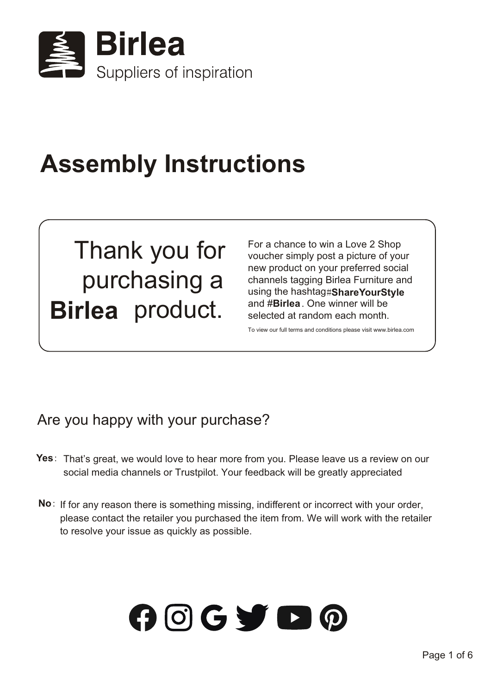

# **Assembly Instructions**

# Thank you for purchasing a **Birlea** product.

For a chance to win a Love 2 Shop voucher simply post a picture of your new product on your preferred social channels tagging Birlea Furniture and using the hashtag #**ShareYourStyle** and #**Birlea**. One winner will be selected at random each month.

To view our full terms and conditions please visit www.birlea.com

## Are you happy with your purchase?

- Yes: That's great, we would love to hear more from you. Please leave us a review on our social media channels or Trustpilot. Your feedback will be greatly appreciated
- No: If for any reason there is something missing, indifferent or incorrect with your order, please contact the retailer you purchased the item from. We will work with the retailer to resolve your issue as quickly as possible.

# $O$   $O$   $G$   $\blacktriangleright$   $O$   $O$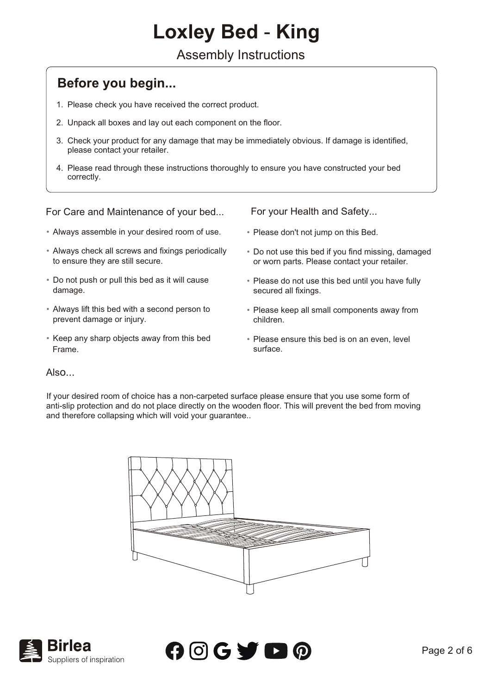## **Loxley Bed** - **King**

#### Assembly Instructions

#### **Before you begin...**

- 1. Please check you have received the correct product.
- 2. Unpack all boxes and lay out each component on the floor.
- 3. Check your product for any damage that may be immediately obvious. If damage is identified, please contact your retailer.
- 4. Please read through these instructions thoroughly to ensure you have constructed your bed correctly.

#### For Care and Maintenance of your bed...

- Always assemble in your desired room of use.
- Always check all screws and fixings periodically to ensure they are still secure.
- Do not push or pull this bed as it will cause damage.
- Always lift this bed with a second person to prevent damage or injury.
- Keep any sharp objects away from this bed Frame.

For your Health and Safety...

- Please don't not jump on this Bed.
- Do not use this bed if you find missing, damaged or worn parts. Please contact your retailer.
- Please do not use this bed until you have fully secured all fixings.
- Please keep all small components away from children.
- Please ensure this bed is on an even, level surface.

#### Also...

If your desired room of choice has a non-carpeted surface please ensure that you use some form of anti-slip protection and do not place directly on the wooden floor. This will prevent the bed from moving and therefore collapsing which will void your guarantee..





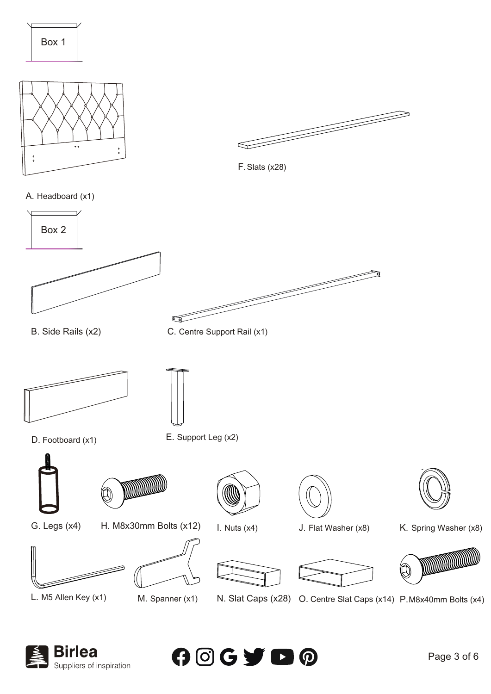





F. Slats (x28)





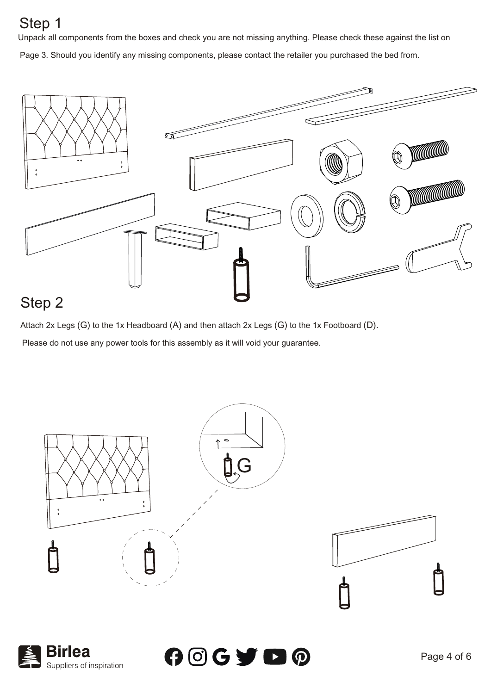## Step 1

Unpack all components from the boxes and check you are not missing anything. Please check these against the list on Page 3. Should you identify any missing components, please contact the retailer you purchased the bed from.

 $\mathbb{C}$ **DELLE SERVICE DE LA CONSTRUITE DEL DE LA CALCACIÓN DE LA CALCACIÓN DEL** 

## Step 2

Suppliers of inspiration

Attach 2x Legs (G) to the 1x Headboard (A) and then attach 2x Legs (G) to the 1x Footboard (D).

Please do not use any power tools for this assembly as it will void your guarantee.

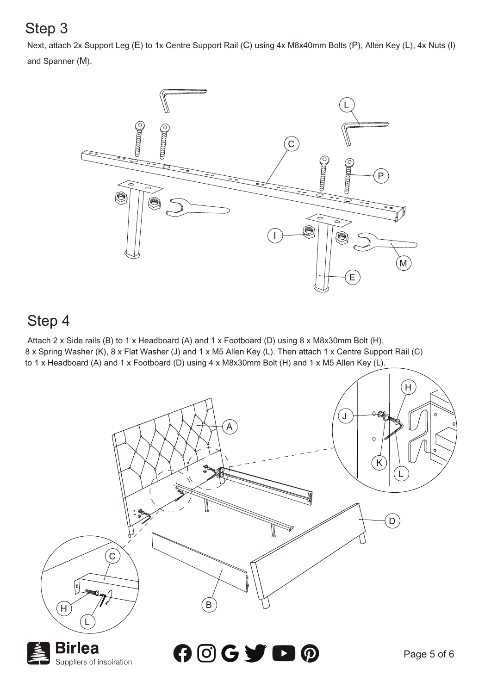## Step 3

Next, attach 2x Support Leg (E) to 1x Centre Support Rail (C) using 4x M8x40mm Bolts (P), Allen Key (L), 4x Nuts (I) and Spanner (M).



## Step 4

 Attach 2 x Side rails (B) to 1 x Headboard (A) and 1 x Footboard (D) using 8 x M8x30mm Bolt (H), 8 x Spring Washer (K), 8 x Flat Washer (J) and 1 x M5 Allen Key (L). Then attach 1 x Centre Support Rail (C) to 1 x Headboard (A) and 1 x Footboard (D) using 4 x M8x30mm Bolt (H) and 1 x M5 Allen Key (L).